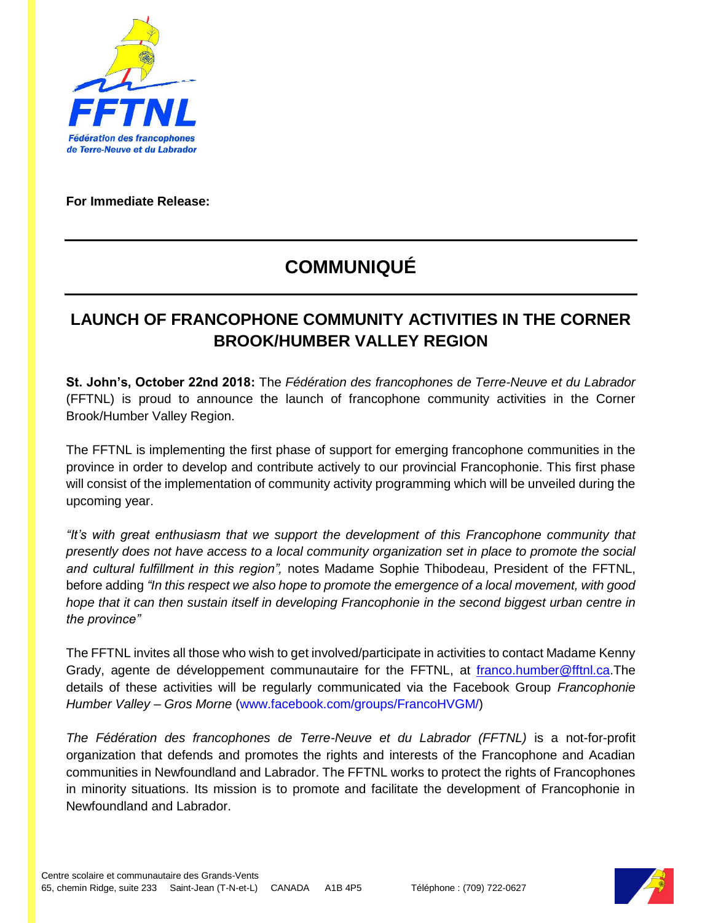

**For Immediate Release:**

## **COMMUNIQUÉ**

## **LAUNCH OF FRANCOPHONE COMMUNITY ACTIVITIES IN THE CORNER BROOK/HUMBER VALLEY REGION**

**St. John's, October 22nd 2018:** The *Fédération des francophones de Terre-Neuve et du Labrador* (FFTNL) is proud to announce the launch of francophone community activities in the Corner Brook/Humber Valley Region.

The FFTNL is implementing the first phase of support for emerging francophone communities in the province in order to develop and contribute actively to our provincial Francophonie. This first phase will consist of the implementation of community activity programming which will be unveiled during the upcoming year.

*"It's with great enthusiasm that we support the development of this Francophone community that presently does not have access to a local community organization set in place to promote the social and cultural fulfillment in this region",* notes Madame Sophie Thibodeau, President of the FFTNL, before adding *"In this respect we also hope to promote the emergence of a local movement, with good hope that it can then sustain itself in developing Francophonie in the second biggest urban centre in the province"*

The FFTNL invites all those who wish to get involved/participate in activities to contact Madame Kenny Grady, agente de développement communautaire for the FFTNL, at [franco.humber@fftnl.ca.](mailto:franco.humber@fftnl.ca)The details of these activities will be regularly communicated via the Facebook Group *Francophonie Humber Valley – Gros Morne* [\(www.facebook.com/groups/FrancoHVGM/\)](http://www.facebook.com/groups/FrancoHVGM/)

*The Fédération des francophones de Terre-Neuve et du Labrador (FFTNL)* is a not-for-profit organization that defends and promotes the rights and interests of the Francophone and Acadian communities in Newfoundland and Labrador. The FFTNL works to protect the rights of Francophones in minority situations. Its mission is to promote and facilitate the development of Francophonie in Newfoundland and Labrador.